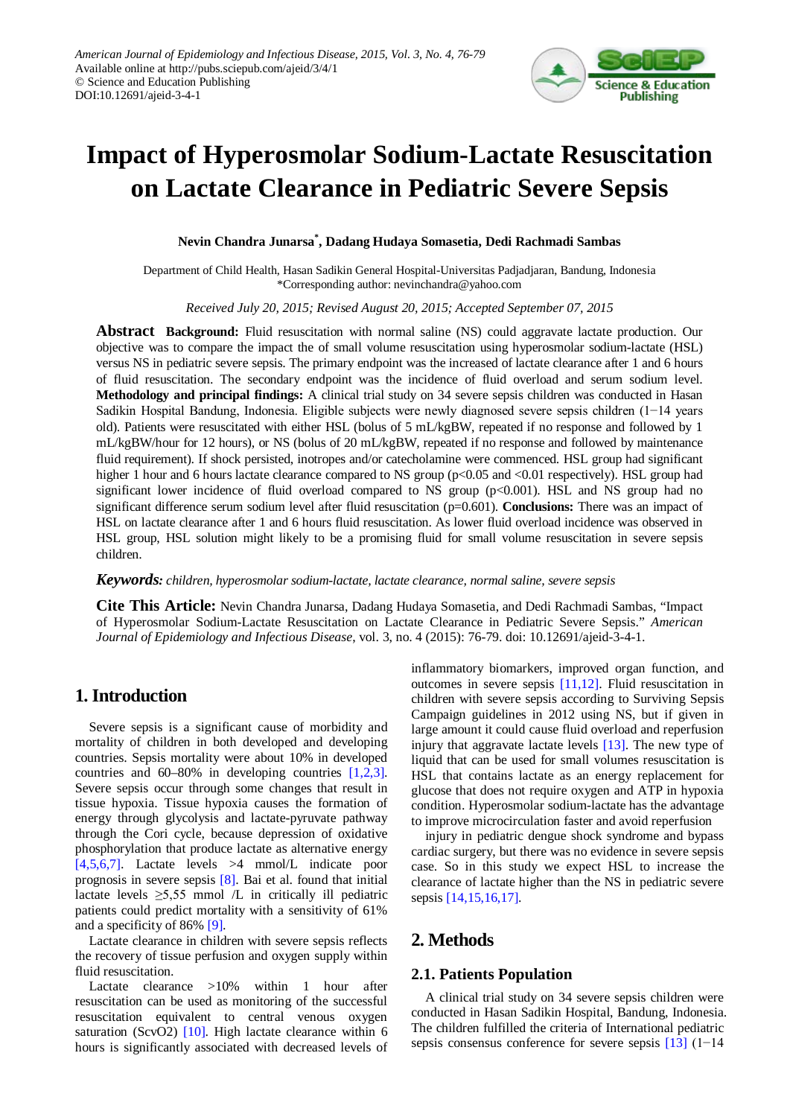

# **Impact of Hyperosmolar Sodium-Lactate Resuscitation on Lactate Clearance in Pediatric Severe Sepsis**

**Nevin Chandra Junarsa\* , Dadang Hudaya Somasetia, Dedi Rachmadi Sambas**

Department of Child Health, Hasan Sadikin General Hospital-Universitas Padjadjaran, Bandung, Indonesia \*Corresponding author: nevinchandra@yahoo.com

*Received July 20, 2015; Revised August 20, 2015; Accepted September 07, 2015*

**Abstract Background:** Fluid resuscitation with normal saline (NS) could aggravate lactate production. Our objective was to compare the impact the of small volume resuscitation using hyperosmolar sodium-lactate (HSL) versus NS in pediatric severe sepsis. The primary endpoint was the increased of lactate clearance after 1 and 6 hours of fluid resuscitation. The secondary endpoint was the incidence of fluid overload and serum sodium level. **Methodology and principal findings:** A clinical trial study on 34 severe sepsis children was conducted in Hasan Sadikin Hospital Bandung, Indonesia. Eligible subjects were newly diagnosed severe sepsis children (1−14 years old). Patients were resuscitated with either HSL (bolus of 5 mL/kgBW, repeated if no response and followed by 1 mL/kgBW/hour for 12 hours), or NS (bolus of 20 mL/kgBW, repeated if no response and followed by maintenance fluid requirement). If shock persisted, inotropes and/or catecholamine were commenced. HSL group had significant higher 1 hour and 6 hours lactate clearance compared to NS group (p<0.05 and <0.01 respectively). HSL group had significant lower incidence of fluid overload compared to NS group (p<0.001). HSL and NS group had no significant difference serum sodium level after fluid resuscitation (p=0.601). **Conclusions:** There was an impact of HSL on lactate clearance after 1 and 6 hours fluid resuscitation. As lower fluid overload incidence was observed in HSL group, HSL solution might likely to be a promising fluid for small volume resuscitation in severe sepsis children.

*Keywords: children, hyperosmolar sodium-lactate, lactate clearance, normal saline, severe sepsis*

**Cite This Article:** Nevin Chandra Junarsa, Dadang Hudaya Somasetia, and Dedi Rachmadi Sambas, "Impact of Hyperosmolar Sodium-Lactate Resuscitation on Lactate Clearance in Pediatric Severe Sepsis." *American Journal of Epidemiology and Infectious Disease*, vol. 3, no. 4 (2015): 76-79. doi: 10.12691/ajeid-3-4-1.

# **1. Introduction**

Severe sepsis is a significant cause of morbidity and mortality of children in both developed and developing countries. Sepsis mortality were about 10% in developed countries and 60–80% in developing countries [\[1,2,3\].](#page-3-0) Severe sepsis occur through some changes that result in tissue hypoxia. Tissue hypoxia causes the formation of energy through glycolysis and lactate-pyruvate pathway through the Cori cycle, because depression of oxidative phosphorylation that produce lactate as alternative energy [\[4,5,6,7\].](#page-3-1) Lactate levels >4 mmol/L indicate poor prognosis in severe sepsis [\[8\].](#page-3-2) Bai et al. found that initial lactate levels  $\geq 5,55$  mmol /L in critically ill pediatric patients could predict mortality with a sensitivity of 61% and a specificity of 86% [\[9\].](#page-3-3)

Lactate clearance in children with severe sepsis reflects the recovery of tissue perfusion and oxygen supply within fluid resuscitation.

Lactate clearance >10% within 1 hour after resuscitation can be used as monitoring of the successful resuscitation equivalent to central venous oxygen saturation (ScvO2) [\[10\].](#page-3-4) High lactate clearance within 6 hours is significantly associated with decreased levels of inflammatory biomarkers, improved organ function, and outcomes in severe sepsis [\[11,12\].](#page-3-5) Fluid resuscitation in children with severe sepsis according to Surviving Sepsis Campaign guidelines in 2012 using NS, but if given in large amount it could cause fluid overload and reperfusion injury that aggravate lactate levels [\[13\].](#page-3-6) The new type of liquid that can be used for small volumes resuscitation is HSL that contains lactate as an energy replacement for glucose that does not require oxygen and ATP in hypoxia condition. Hyperosmolar sodium-lactate has the advantage to improve microcirculation faster and avoid reperfusion

injury in pediatric dengue shock syndrome and bypass cardiac surgery, but there was no evidence in severe sepsis case. So in this study we expect HSL to increase the clearance of lactate higher than the NS in pediatric severe sepsis [\[14,15,16,17\].](#page-3-7)

# **2. Methods**

#### **2.1. Patients Population**

A clinical trial study on 34 severe sepsis children were conducted in Hasan Sadikin Hospital, Bandung, Indonesia. The children fulfilled the criteria of International pediatric sepsis consensus conference for severe sepsis [\[13\]](#page-3-6) (1−14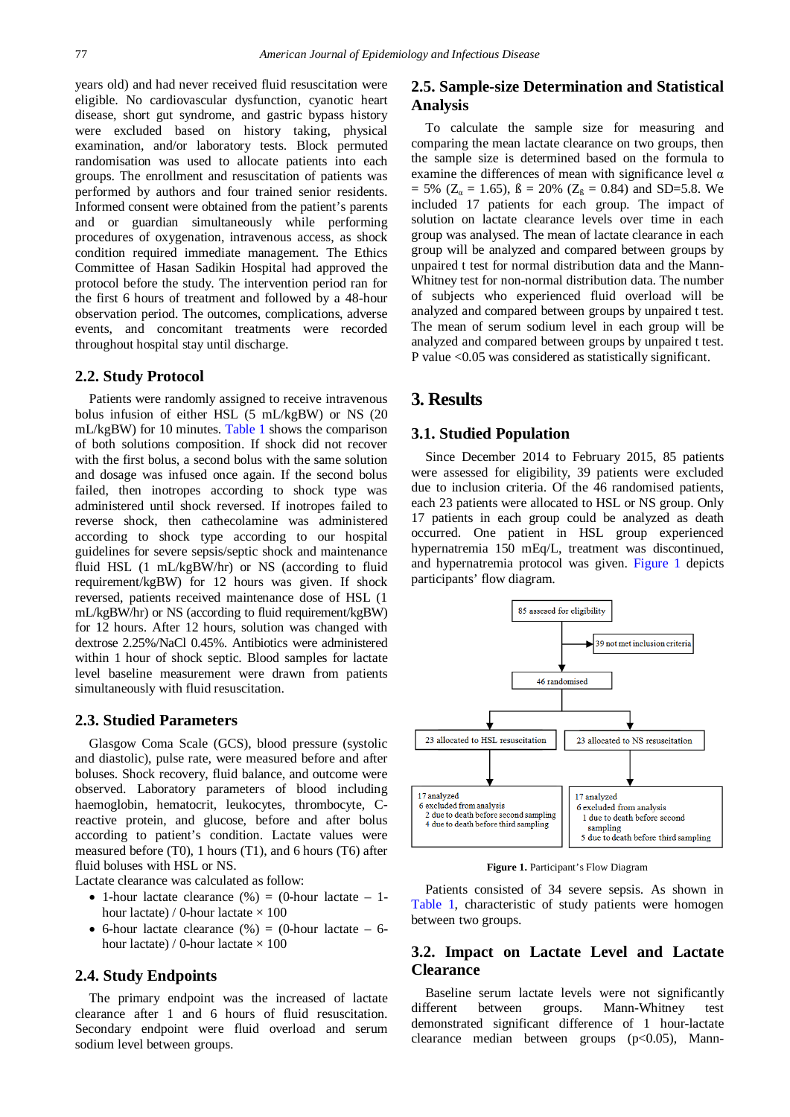years old) and had never received fluid resuscitation were eligible. No cardiovascular dysfunction, cyanotic heart disease, short gut syndrome, and gastric bypass history were excluded based on history taking, physical examination, and/or laboratory tests. Block permuted randomisation was used to allocate patients into each groups. The enrollment and resuscitation of patients was performed by authors and four trained senior residents. Informed consent were obtained from the patient's parents and or guardian simultaneously while performing procedures of oxygenation, intravenous access, as shock condition required immediate management. The Ethics Committee of Hasan Sadikin Hospital had approved the protocol before the study. The intervention period ran for the first 6 hours of treatment and followed by a 48-hour observation period. The outcomes, complications, adverse events, and concomitant treatments were recorded throughout hospital stay until discharge.

### **2.2. Study Protocol**

Patients were randomly assigned to receive intravenous bolus infusion of either HSL (5 mL/kgBW) or NS (20 mL/kgBW) for 10 minutes. [Table 1](#page-2-0) shows the comparison of both solutions composition. If shock did not recover with the first bolus, a second bolus with the same solution and dosage was infused once again. If the second bolus failed, then inotropes according to shock type was administered until shock reversed. If inotropes failed to reverse shock, then cathecolamine was administered according to shock type according to our hospital guidelines for severe sepsis/septic shock and maintenance fluid HSL (1 mL/kgBW/hr) or NS (according to fluid requirement/kgBW) for 12 hours was given. If shock reversed, patients received maintenance dose of HSL (1 mL/kgBW/hr) or NS (according to fluid requirement/kgBW) for 12 hours. After 12 hours, solution was changed with dextrose 2.25%/NaCl 0.45%. Antibiotics were administered within 1 hour of shock septic. Blood samples for lactate level baseline measurement were drawn from patients simultaneously with fluid resuscitation.

#### **2.3. Studied Parameters**

Glasgow Coma Scale (GCS), blood pressure (systolic and diastolic), pulse rate, were measured before and after boluses. Shock recovery, fluid balance, and outcome were observed. Laboratory parameters of blood including haemoglobin, hematocrit, leukocytes, thrombocyte, Creactive protein, and glucose, before and after bolus according to patient's condition. Lactate values were measured before (T0), 1 hours (T1), and 6 hours (T6) after fluid boluses with HSL or NS.

Lactate clearance was calculated as follow:

- 1-hour lactate clearance  $(\%) = (0 \text{-} hour \text{ } lactate 1 \text{-}$ hour lactate) / 0-hour lactate  $\times$  100
- 6-hour lactate clearance  $(\%) = (0)$ -hour lactate 6hour lactate) / 0-hour lactate  $\times$  100

#### **2.4. Study Endpoints**

The primary endpoint was the increased of lactate clearance after 1 and 6 hours of fluid resuscitation. Secondary endpoint were fluid overload and serum sodium level between groups.

## **2.5. Sample-size Determination and Statistical Analysis**

To calculate the sample size for measuring and comparing the mean lactate clearance on two groups, then the sample size is determined based on the formula to examine the differences of mean with significance level  $\alpha$  $= 5\%$  (Z<sub>a</sub> = 1.65),  $\beta = 20\%$  (Z<sub>b</sub> = 0.84) and SD=5.8. We included 17 patients for each group. The impact of solution on lactate clearance levels over time in each group was analysed. The mean of lactate clearance in each group will be analyzed and compared between groups by unpaired t test for normal distribution data and the Mann-Whitney test for non-normal distribution data. The number of subjects who experienced fluid overload will be analyzed and compared between groups by unpaired t test. The mean of serum sodium level in each group will be analyzed and compared between groups by unpaired t test. P value <0.05 was considered as statistically significant.

# **3. Results**

## **3.1. Studied Population**

Since December 2014 to February 2015, 85 patients were assessed for eligibility, 39 patients were excluded due to inclusion criteria. Of the 46 randomised patients, each 23 patients were allocated to HSL or NS group. Only 17 patients in each group could be analyzed as death occurred. One patient in HSL group experienced hypernatremia 150 mEq/L, treatment was discontinued, and hypernatremia protocol was given. [Figure 1](#page-1-0) depicts participants' flow diagram.

<span id="page-1-0"></span>

**Figure 1.** Participant's Flow Diagram

Patients consisted of 34 severe sepsis. As shown in [Table 1,](#page-2-0) characteristic of study patients were homogen between two groups.

## **3.2. Impact on Lactate Level and Lactate Clearance**

Baseline serum lactate levels were not significantly different between groups. Mann-Whitney test demonstrated significant difference of 1 hour-lactate clearance median between groups  $(p<0.05)$ , Mann-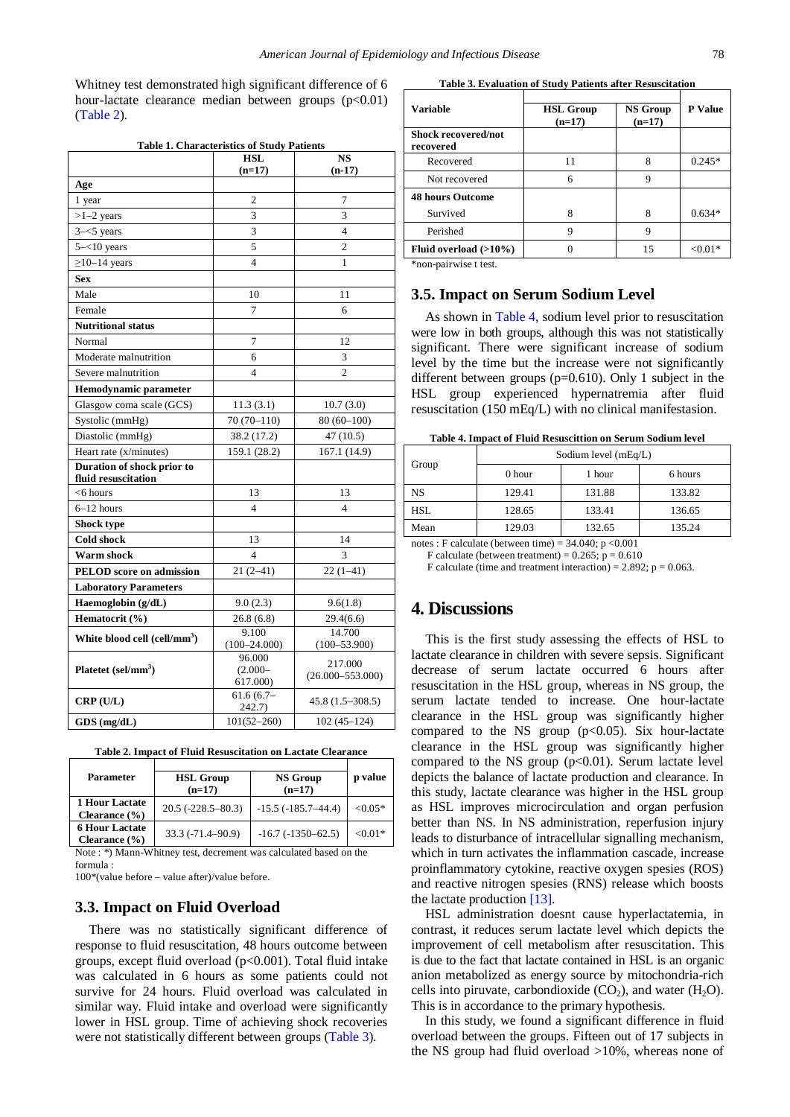Whitney test demonstrated high significant difference of 6 hour-lactate clearance median between groups  $(p<0.01)$ [\(Table 2\)](#page-2-1).

<span id="page-2-0"></span>

| <b>Table 1. Characteristics of Study Patients</b> |                                  |                                 |  |  |  |
|---------------------------------------------------|----------------------------------|---------------------------------|--|--|--|
|                                                   | <b>HSL</b>                       | $\overline{\text{NS}}$          |  |  |  |
|                                                   | $(n=17)$                         | $(n-17)$                        |  |  |  |
| Age                                               |                                  |                                 |  |  |  |
| 1 year                                            | 2                                | 7                               |  |  |  |
| $>1-2$ years                                      | 3                                | 3                               |  |  |  |
| $3 - 5$ years                                     | 3                                | 4                               |  |  |  |
| $5 - <10$ years                                   | 5                                | $\overline{c}$                  |  |  |  |
| $\geq$ 10-14 years                                | $\overline{\mathbf{4}}$          | 1                               |  |  |  |
| <b>Sex</b>                                        |                                  |                                 |  |  |  |
| Male                                              | 10                               | 11                              |  |  |  |
| Female                                            | $\overline{7}$                   | 6                               |  |  |  |
| <b>Nutritional status</b>                         |                                  |                                 |  |  |  |
| Normal                                            | $\overline{7}$                   | 12                              |  |  |  |
| Moderate malnutrition                             | 6                                | 3                               |  |  |  |
| Severe malnutrition                               | $\overline{4}$                   | 2                               |  |  |  |
| Hemodynamic parameter                             |                                  |                                 |  |  |  |
| Glasgow coma scale (GCS)                          | 11.3(3.1)                        | 10.7(3.0)                       |  |  |  |
| Systolic (mmHg)                                   | $70(70-110)$                     | $80(60-100)$                    |  |  |  |
| Diastolic (mmHg)                                  | 38.2 (17.2)                      | 47(10.5)                        |  |  |  |
| Heart rate (x/minutes)                            | 159.1 (28.2)                     | 167.1 (14.9)                    |  |  |  |
| Duration of shock prior to<br>fluid resuscitation |                                  |                                 |  |  |  |
| $<$ 6 hours                                       | 13                               | 13                              |  |  |  |
| $6-12$ hours                                      | $\overline{4}$                   | 4                               |  |  |  |
| Shock type                                        |                                  |                                 |  |  |  |
| <b>Cold shock</b>                                 | 13                               | 14                              |  |  |  |
| Warm shock                                        | $\overline{\mathcal{L}}$         | 3                               |  |  |  |
| <b>PELOD</b> score on admission                   | $21(2-41)$                       | $22(1-41)$                      |  |  |  |
| <b>Laboratory Parameters</b>                      |                                  |                                 |  |  |  |
| Haemoglobin (g/dL)                                | 9.0(2.3)                         | 9.6(1.8)                        |  |  |  |
| Hematocrit (%)                                    | 26.8(6.8)                        | 29.4(6.6)                       |  |  |  |
| White blood cell (cell/mm <sup>3</sup> )          | 9.100                            | 14.700                          |  |  |  |
|                                                   | $(100 - 24.000)$                 | $(100 - 53.900)$                |  |  |  |
| Platetet (sel/mm <sup>3</sup> )                   | 96.000<br>$(2.000 -$<br>617.000) | 217.000<br>$(26.000 - 553.000)$ |  |  |  |
| CRP(U/L)                                          | $61.6(6.7-$<br>242.7)            | $45.8(1.5-308.5)$               |  |  |  |
| $GDS$ (mg/dL)                                     | $101(52 - 260)$                  | $102(45 - 124)$                 |  |  |  |

|  |  |  |  |  |  | Table 2. Impact of Fluid Resuscitation on Lactate Clearance |  |  |  |  |
|--|--|--|--|--|--|-------------------------------------------------------------|--|--|--|--|
|--|--|--|--|--|--|-------------------------------------------------------------|--|--|--|--|

<span id="page-2-1"></span>

| <b>Parameter</b>                           | <b>HSL Group</b><br>$(n=17)$ | <b>NS Group</b><br>$(n=17)$ | p value   |
|--------------------------------------------|------------------------------|-----------------------------|-----------|
| <b>1 Hour Lactate</b><br>Clearance $(\% )$ | $20.5(-228.5-80.3)$          | $-15.5(-185.7-44.4)$        | $< 0.05*$ |
| <b>6 Hour Lactate</b><br>Clearance $(\% )$ | $33.3 (-71.4 - 90.9)$        | $-16.7(-1350-62.5)$         | $< 0.01*$ |

Note : \*) Mann-Whitney test, decrement was calculated based on the formula :

100\*(value before – value after)/value before.

#### **3.3. Impact on Fluid Overload**

There was no statistically significant difference of response to fluid resuscitation, 48 hours outcome between groups, except fluid overload (p<0.001). Total fluid intake was calculated in 6 hours as some patients could not survive for 24 hours. Fluid overload was calculated in similar way. Fluid intake and overload were significantly lower in HSL group. Time of achieving shock recoveries were not statistically different between groups [\(Table 3\)](#page-2-2).

|--|

<span id="page-2-2"></span>

| <b>Variable</b>                         | <b>HSL Group</b><br>$(n=17)$ | <b>NS Group</b><br>$(n=17)$ |            |
|-----------------------------------------|------------------------------|-----------------------------|------------|
| <b>Shock recovered/not</b><br>recovered |                              |                             |            |
| Recovered                               | 11                           | 8                           | $0.245*$   |
| Not recovered                           | 6                            | Q                           |            |
| <b>48 hours Outcome</b>                 |                              |                             |            |
| Survived                                | 8                            | 8                           | $0.634*$   |
| Perished                                | Q                            | 9                           |            |
| Fluid overload $(>10\%)$                |                              | 15                          | ${<}0.01*$ |

\*non-pairwise t test.

#### **3.5. Impact on Serum Sodium Level**

As shown in [Table 4,](#page-2-3) sodium level prior to resuscitation were low in both groups, although this was not statistically significant. There were significant increase of sodium level by the time but the increase were not significantly different between groups (p=0.610). Only 1 subject in the HSL group experienced hypernatremia after fluid resuscitation (150 mEq/L) with no clinical manifestasion.

**Table 4. Impact of Fluid Resuscittion on Serum Sodium level**

<span id="page-2-3"></span>

| Group | Sodium level (mEq/L) |        |         |  |  |  |
|-------|----------------------|--------|---------|--|--|--|
|       | 0 hour               | 1 hour | 6 hours |  |  |  |
| NS    | 129.41               | 131.88 | 133.82  |  |  |  |
| HSL   | 128.65               | 133.41 | 136.65  |  |  |  |
| Mean  | 129.03               | 132.65 | 135.24  |  |  |  |

notes : F calculate (between time) =  $34.040$ ; p < 0.001 F calculate (between treatment) =  $0.265$ ; p =  $0.610$ 

F calculate (time and treatment interaction) =  $2.892$ ; p =  $0.063$ .

## **4. Discussions**

This is the first study assessing the effects of HSL to lactate clearance in children with severe sepsis. Significant decrease of serum lactate occurred 6 hours after resuscitation in the HSL group, whereas in NS group, the serum lactate tended to increase. One hour-lactate clearance in the HSL group was significantly higher compared to the NS group  $(p<0.05)$ . Six hour-lactate clearance in the HSL group was significantly higher compared to the NS group  $(p<0.01)$ . Serum lactate level depicts the balance of lactate production and clearance. In this study, lactate clearance was higher in the HSL group as HSL improves microcirculation and organ perfusion better than NS. In NS administration, reperfusion injury leads to disturbance of intracellular signalling mechanism, which in turn activates the inflammation cascade, increase proinflammatory cytokine, reactive oxygen spesies (ROS) and reactive nitrogen spesies (RNS) release which boosts the lactate production [\[13\].](#page-3-6)

HSL administration doesnt cause hyperlactatemia, in contrast, it reduces serum lactate level which depicts the improvement of cell metabolism after resuscitation. This is due to the fact that lactate contained in HSL is an organic anion metabolized as energy source by mitochondria-rich cells into piruvate, carbondioxide  $(CO_2)$ , and water  $(H_2O)$ . This is in accordance to the primary hypothesis.

In this study, we found a significant difference in fluid overload between the groups. Fifteen out of 17 subjects in the NS group had fluid overload >10%, whereas none of